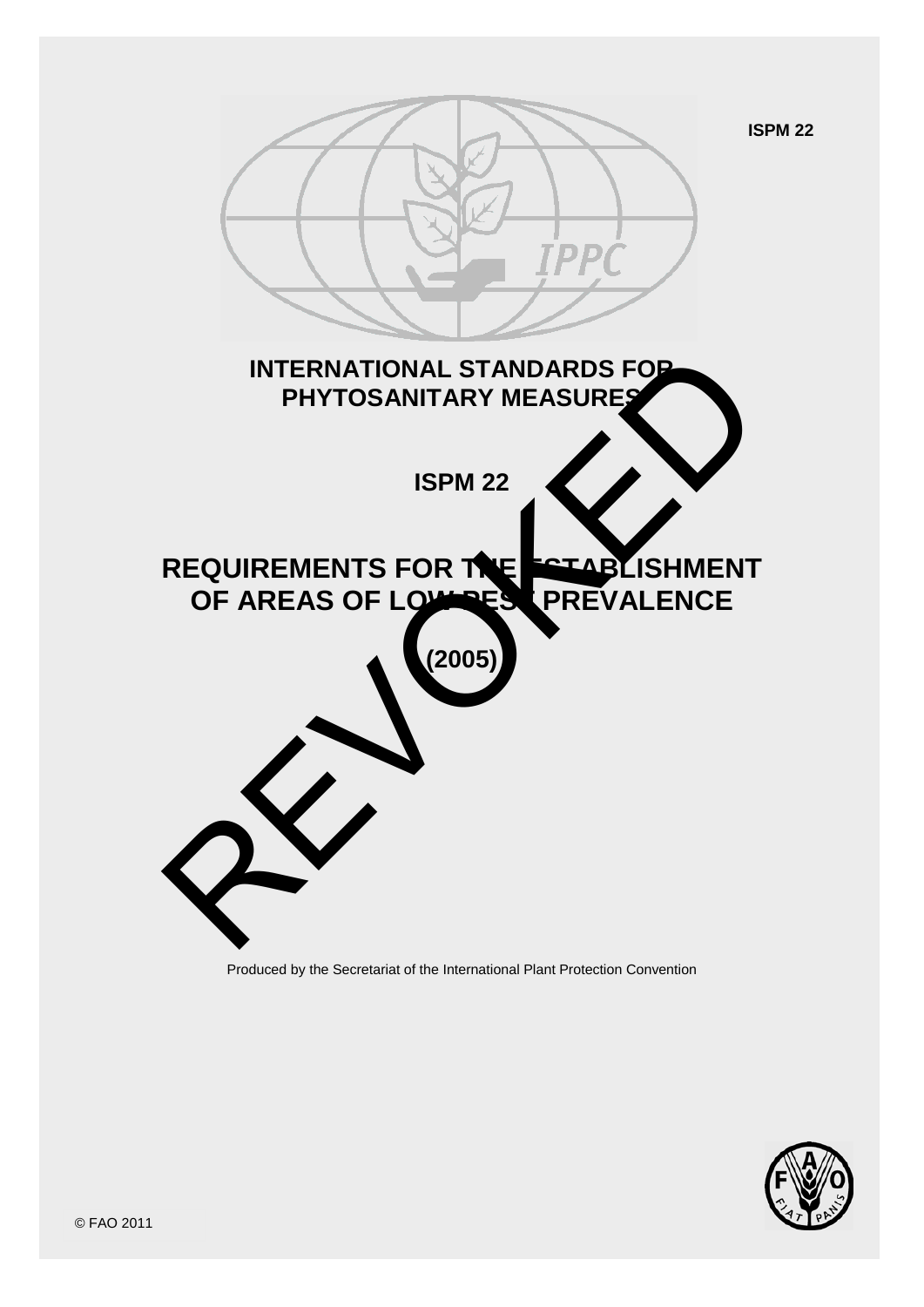

Produced by the Secretariat of the International Plant Protection Convention

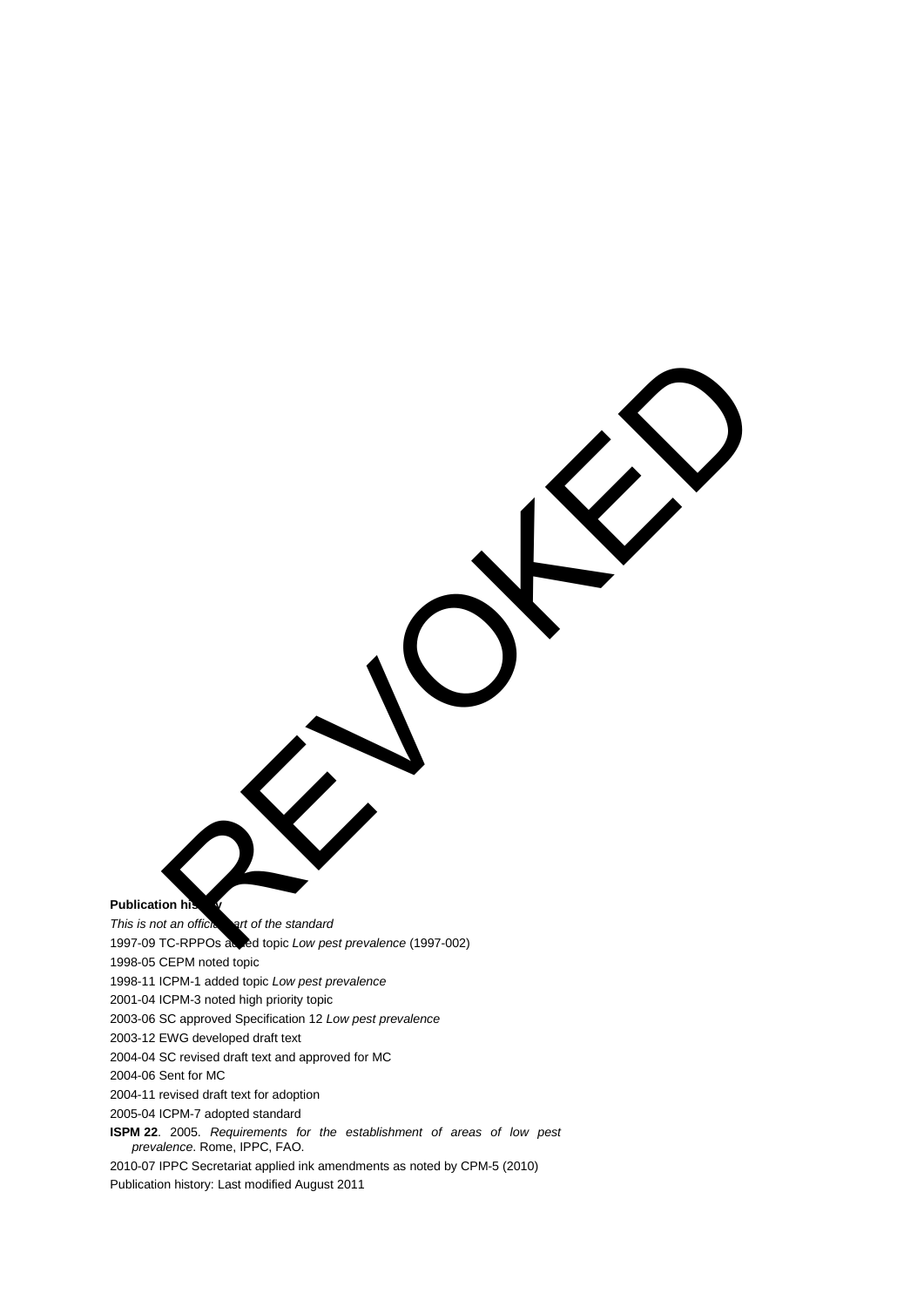**Publication his** 

*This is not an official part of the standard* 1997-09 TC-RPPOs added topic *Low pest prevalence* (1997-002) 1998-05 CEPM noted topic 1998-11 ICPM-1 added topic *Low pest prevalence* 2001-04 ICPM-3 noted high priority topic 2003-06 SC approved Specification 12 *Low pest prevalence* 2003-12 EWG developed draft text 2004-04 SC revised draft text and approved for MC 2004-06 Sent for MC 2004-11 revised draft text for adoption 2005-04 ICPM-7 adopted standard **ISPM 22**. 2005. *Requirements for the establishment of areas of low pest prevalence*. Rome, IPPC, FAO. REVOKS

2010-07 IPPC Secretariat applied ink amendments as noted by CPM-5 (2010) Publication history: Last modified August 2011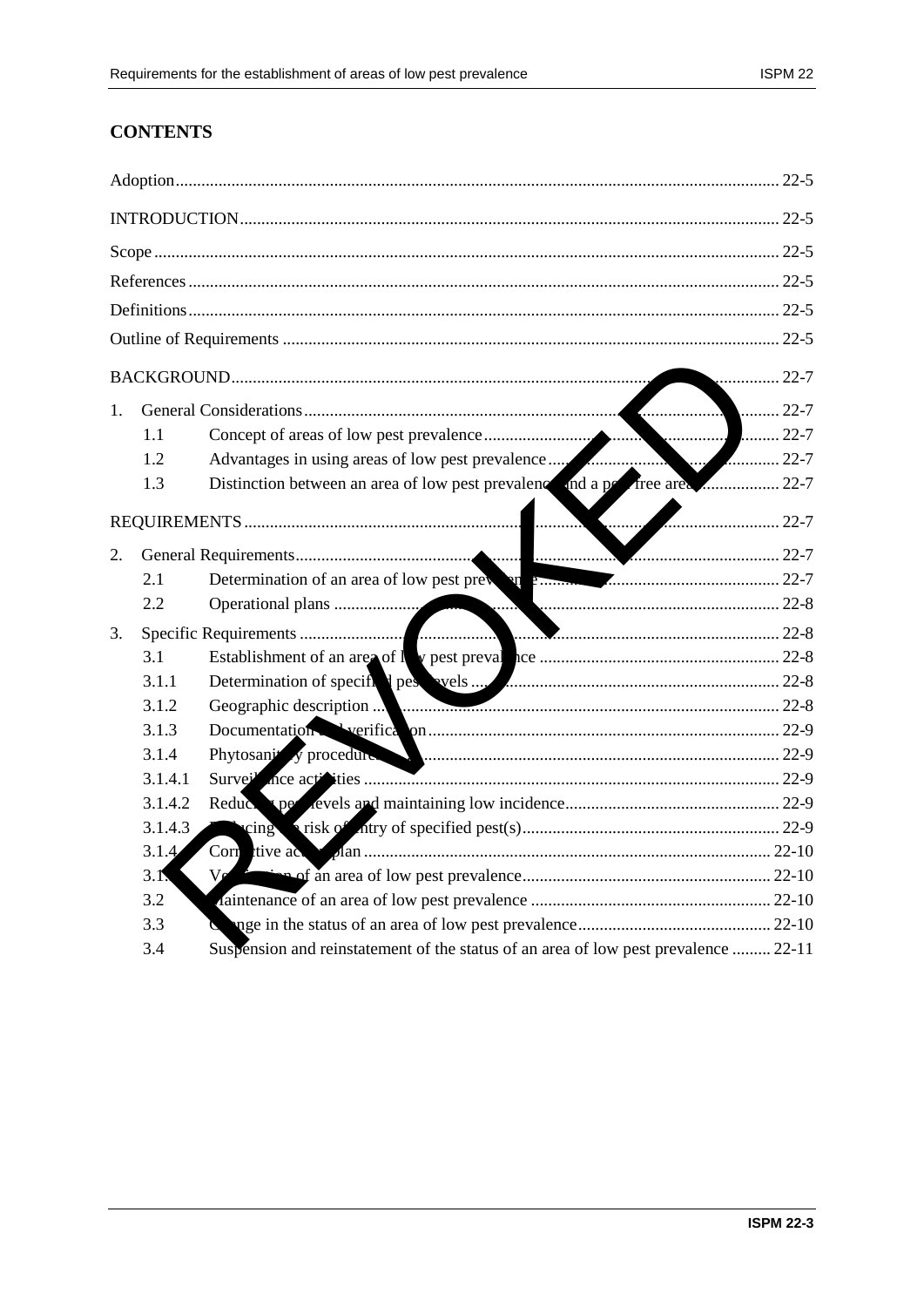# **CONTENTS**

|    |         |                                                                                                                                                                                                                               | 22-7 |
|----|---------|-------------------------------------------------------------------------------------------------------------------------------------------------------------------------------------------------------------------------------|------|
| 1. |         |                                                                                                                                                                                                                               |      |
|    | 1.1     |                                                                                                                                                                                                                               |      |
|    | 1.2     |                                                                                                                                                                                                                               |      |
|    | 1.3     |                                                                                                                                                                                                                               |      |
|    |         | $\blacksquare$                                                                                                                                                                                                                |      |
| 2. |         |                                                                                                                                                                                                                               |      |
|    | 2.1     | Determination of an area of low pest prevent or communication and 22-7                                                                                                                                                        |      |
|    | 2.2     |                                                                                                                                                                                                                               |      |
| 3. |         |                                                                                                                                                                                                                               |      |
|    | 3.1     |                                                                                                                                                                                                                               |      |
|    | 3.1.1   | Determination of specific d pescared specific de la contratte de la contratte de la contratte de la contratte de la contratte de la contratte de la contratte de la contratte de la contratte de la contratte de la contratte |      |
|    | 3.1.2   | Geographic description                                                                                                                                                                                                        |      |
|    | 3.1.3   |                                                                                                                                                                                                                               |      |
|    | 3.1.4   | Phytosani <sup>1</sup> y procedure and measurement contract to the 22-9                                                                                                                                                       |      |
|    | 3.1.4.1 |                                                                                                                                                                                                                               |      |
|    | 3.1.4.2 |                                                                                                                                                                                                                               |      |
|    | 3.1.4.3 |                                                                                                                                                                                                                               |      |
|    | 3.1.4   |                                                                                                                                                                                                                               |      |
|    | 3.1.    | Ve                                                                                                                                                                                                                            |      |
|    | 3.2     |                                                                                                                                                                                                                               |      |
|    | 3.3     |                                                                                                                                                                                                                               |      |
|    | 3.4     | Suspension and reinstatement of the status of an area of low pest prevalence  22-11                                                                                                                                           |      |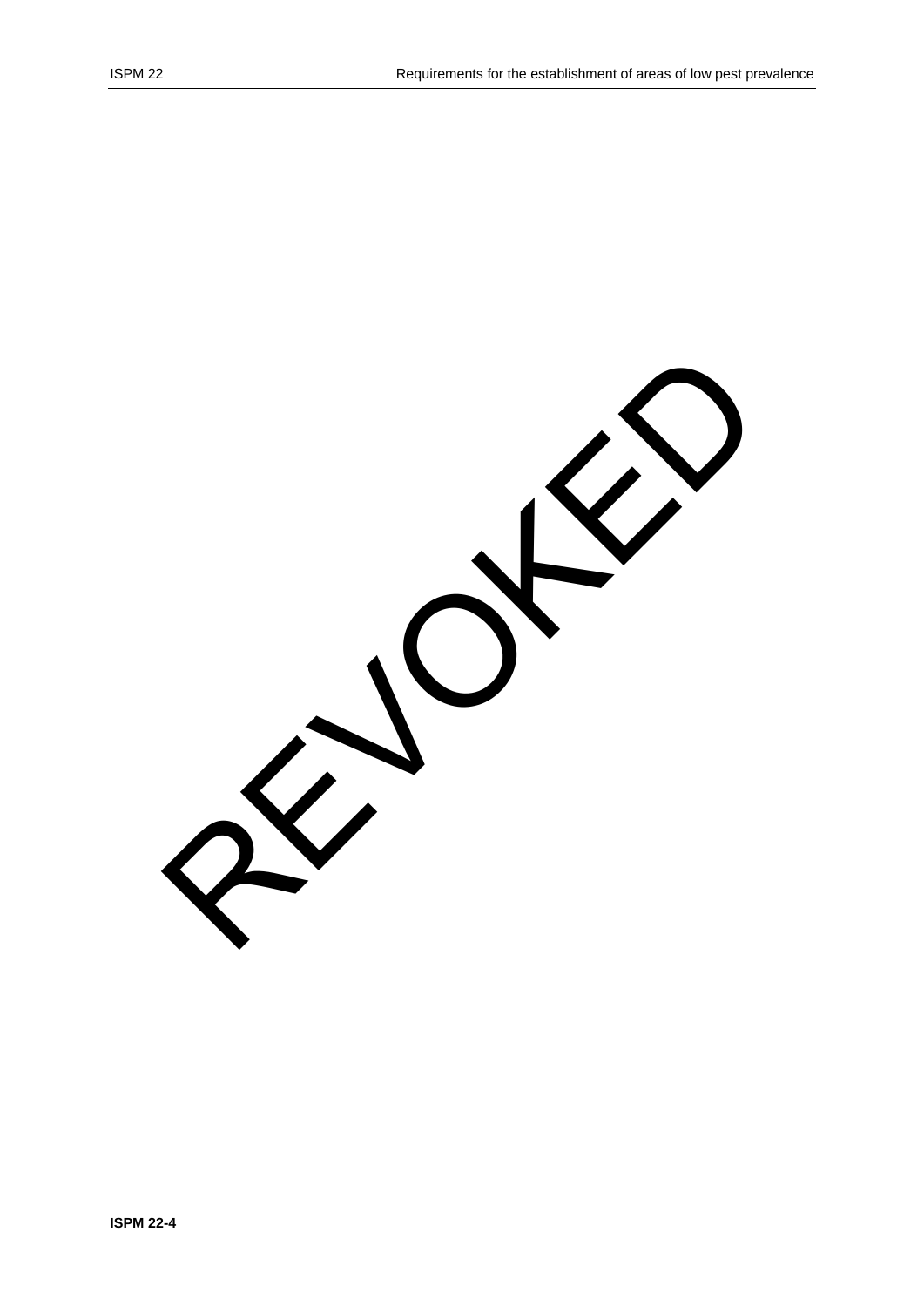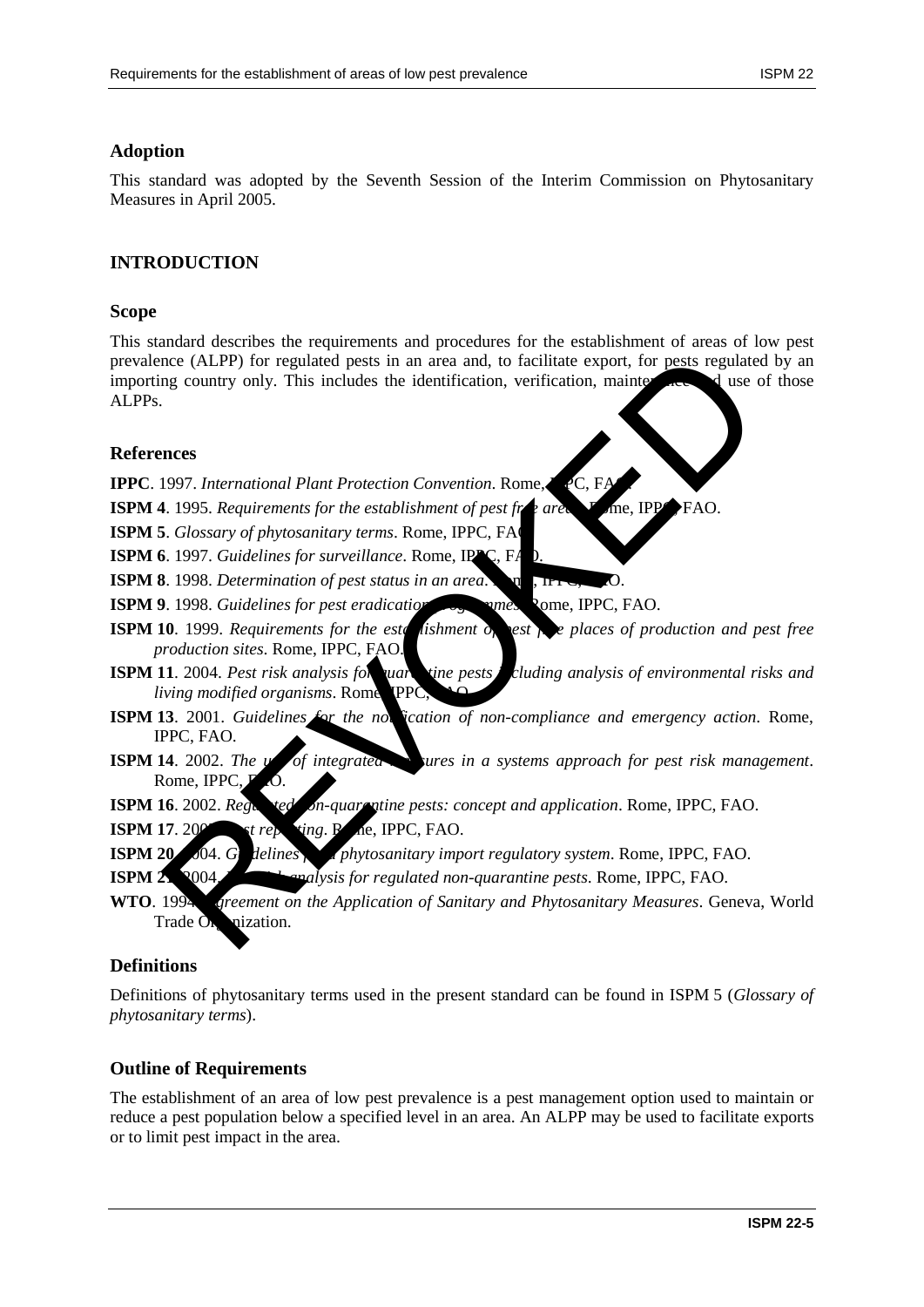### **Adoption**

This standard was adopted by the Seventh Session of the Interim Commission on Phytosanitary Measures in April 2005.

# **INTRODUCTION**

#### **Scope**

This standard describes the requirements and procedures for the establishment of areas of low pest prevalence (ALPP) for regulated pests in an area and, to facilitate export, for pests regulated by an importing country only. This includes the identification, verification, maintenance and use of those ALPPs. nce (ALPP) for regulated pests in an area and, to facilitate export, for pests regulate<br>mg country only. This includes the identification, verification, mainter<br>and 1997. International Plant Protection Convention. Rome, C,

#### **References**

**IPPC**. 1997. *International Plant Protection Convention*. Rome, *IPC*, F

**ISPM 4**. 1995. *Requirements for the establishment of pest free area* **F** me, IPPC, FAO.

**ISPM 5**. *Glossary of phytosanitary terms*. Rome, IPPC, FA

**ISPM 6.** 1997. *Guidelines for surveillance*. Rome, IP

**ISPM 8**. 1998. *Determination of pest status in an area*. Rome, IP

**ISPM 9**. 1998. *Guidelines for pest eradication programmes*. Rome, IPPC, FAO.

- **ISPM 10**. 1999. *Requirements for the establishment of pest free places of production and pest free production sites*. Rome, IPPC, FAO.
- **ISPM 11**. 2004. *Pest risk analysis for quarantine pests cluding analysis of environmental risks and living modified organisms*. Rome TPPC
- **ISPM 13**. 2001. *Guidelines for the notication of non-compliance and emergency action*. Rome, IPPC, FAO.
- **ISPM 14.** 2002. The *use of integrated measures in a systems approach for pest risk management.* Rome, IPPC
- **ISPM 16**. 2002. *Regulated on-quarantine pests: concept and application.* Rome, IPPC, FAO.

 $\mathbf{ISPM}$  17. 200 $\bullet$  *perforting*. R<sub>ome</sub>, IPPC, FAO.

- **ISPM 20** 2004. *Guidelines for a phytosanitary import regulatory system.* Rome, IPPC, FAO.
- **ISPM 21. 2004.** Penalysis for regulated non-quarantine pests. Rome, IPPC, FAO.
- **WTO**. 1994. *Agreement on the Application of Sanitary and Phytosanitary Measures*. Geneva, World Trade  $\overline{O}$  nization.

### **Definitions**

Definitions of phytosanitary terms used in the present standard can be found in ISPM 5 (*Glossary of phytosanitary terms*).

### **Outline of Requirements**

The establishment of an area of low pest prevalence is a pest management option used to maintain or reduce a pest population below a specified level in an area. An ALPP may be used to facilitate exports or to limit pest impact in the area.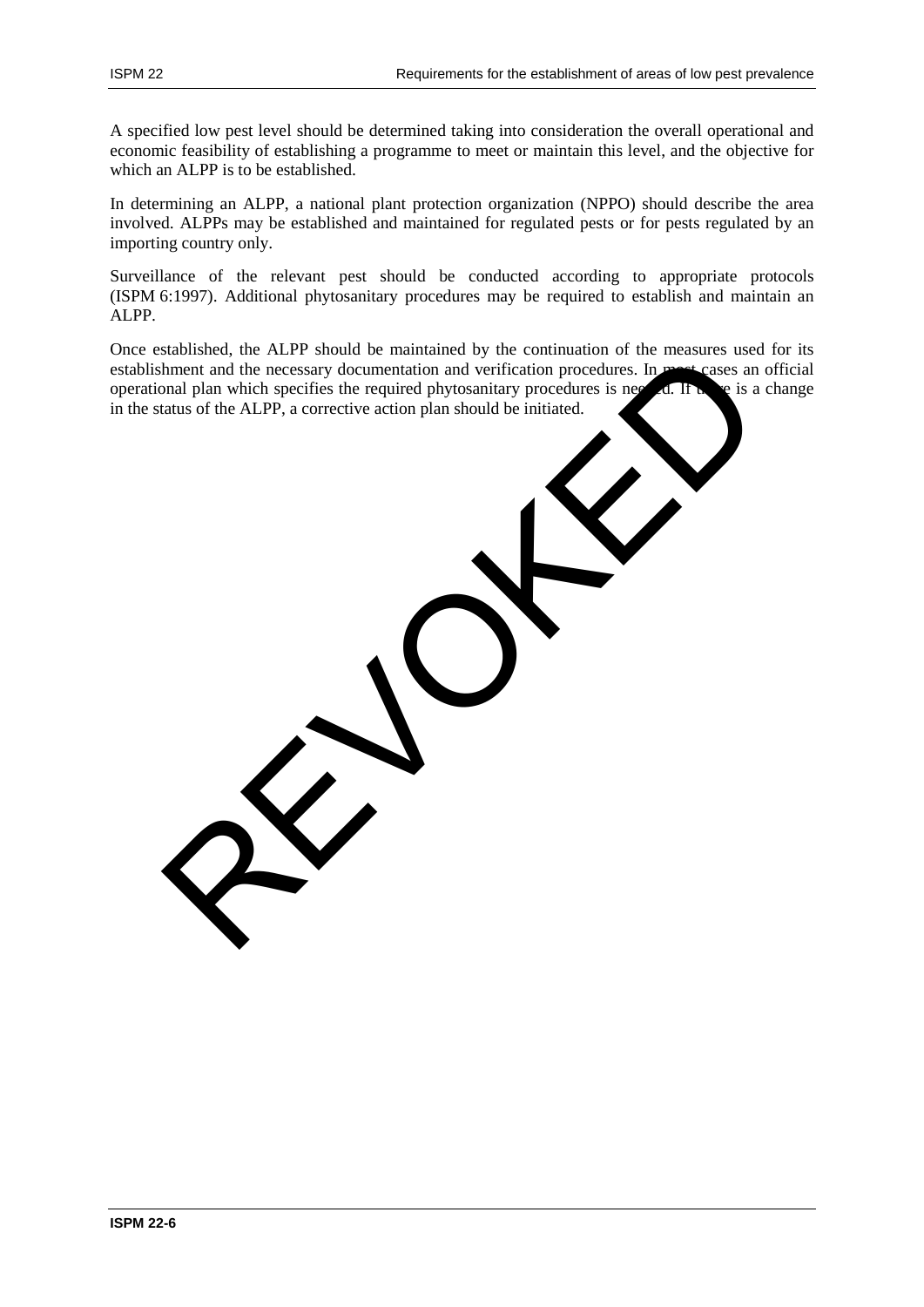A specified low pest level should be determined taking into consideration the overall operational and economic feasibility of establishing a programme to meet or maintain this level, and the objective for which an ALPP is to be established.

In determining an ALPP, a national plant protection organization (NPPO) should describe the area involved. ALPPs may be established and maintained for regulated pests or for pests regulated by an importing country only.

Surveillance of the relevant pest should be conducted according to appropriate protocols (ISPM 6:1997). Additional phytosanitary procedures may be required to establish and maintain an ALPP.

Once established, the ALPP should be maintained by the continuation of the measures used for its establishment and the necessary documentation and verification procedures. In most cases an official operational plan which specifies the required phytosanitary procedures is needed. If  $\mathbf{h}$  be is a change in the status of the ALPP, a corrective action plan should be initiated. Statistica, the ALPP, a corrective action plan should be initiated.<br>
Then that and the necessary documentation and verification procedures. In measures can<br>
pan plan which specifies the required phytosmitary procedures is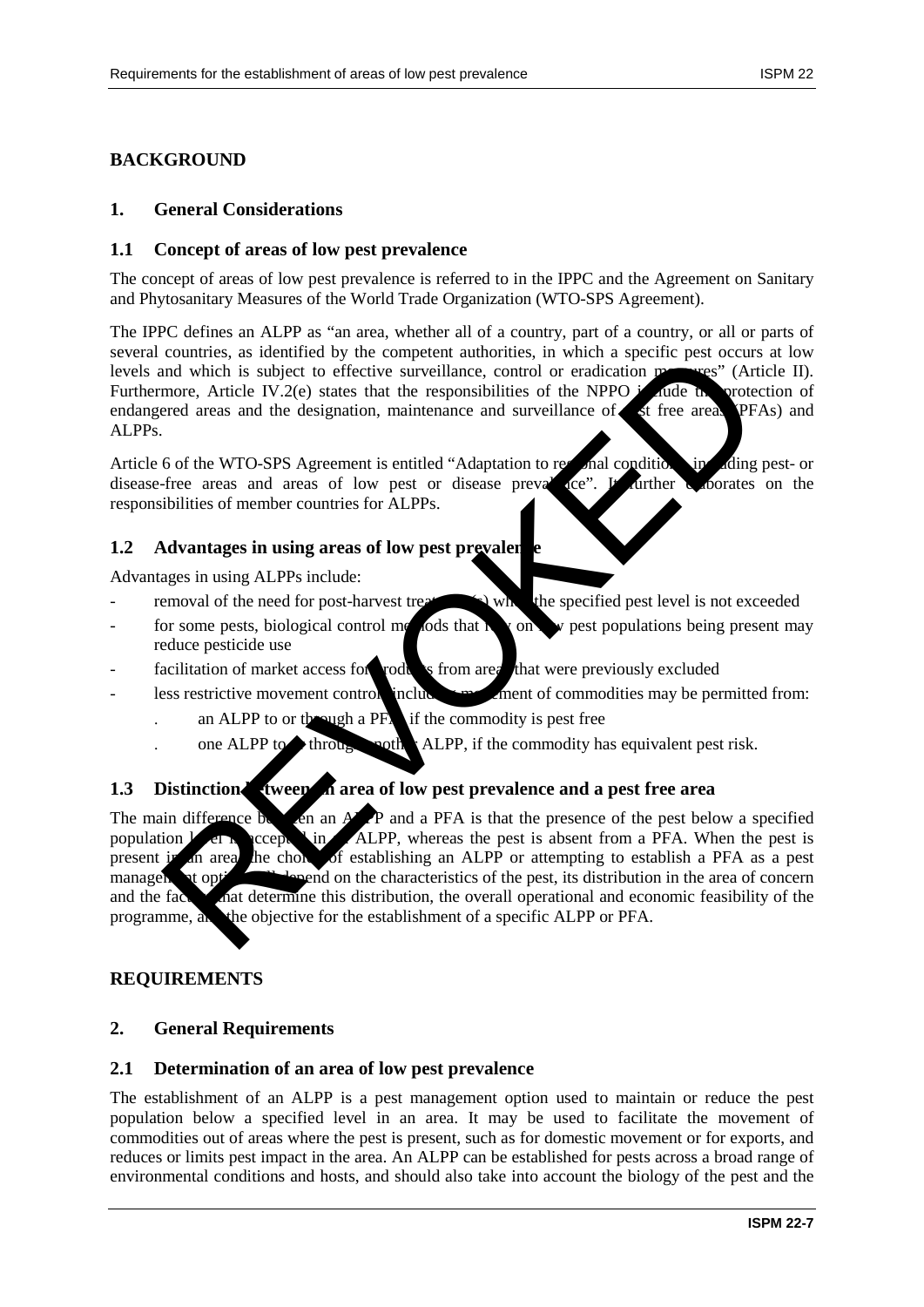# **BACKGROUND**

#### **1. General Considerations**

#### **1.1 Concept of areas of low pest prevalence**

The concept of areas of low pest prevalence is referred to in the IPPC and the Agreement on Sanitary and Phytosanitary Measures of the World Trade Organization (WTO-SPS Agreement).

The IPPC defines an ALPP as "an area, whether all of a country, part of a country, or all or parts of several countries, as identified by the competent authorities, in which a specific pest occurs at low levels and which is subject to effective surveillance, control or eradication measures" (Article II). Furthermore, Article IV.2(e) states that the responsibilities of the NPPO in divide the protection of endangered areas and the designation, maintenance and surveillance of  $\epsilon$  at free areas (PFAs) and ALPPs.

Article 6 of the WTO-SPS Agreement is entitled "Adaptation to regional conditions, including pest- or disease-free areas and areas of low pest or disease prevalence". It further a coorates on the responsibilities of member countries for ALPPs.

#### **1.2 Advantages in using areas of low pest prevaler**

Advantages in using ALPPs include:

- removal of the need for post-harvest treatment (s) when the specified pest level is not exceeded
- for some pests, biological control methods that relations we pest populations being present may reduce pesticide use
- facilitation of market access for roducts from area that were previously excluded
- less restrictive movement controls includes and ment of commodities may be permitted from:
	- an ALPP to or through a  $PF_A$  if the commodity is pest free
	- one ALPP to through another ALPP, if the commodity has equivalent pest risk.

### **1.3** Distinction tween a area of low pest prevalence and a pest free area

The main difference  $\mathbf{b}$  and  $\mathbf{A}$  P and a PFA is that the presence of the pest below a specified population  $\Gamma$  erection in an ALPP, whereas the pest is absent from a PFA. When the pest is present in an area, the choice of establishing an ALPP or attempting to establish a PFA as a pest management option will depend on the characteristics of the pest, its distribution in the area of concern and the factors that determine this distribution, the overall operational and economic feasibility of the programme, and the objective for the establishment of a specific ALPP or PFA. countries, as identified by the complete intuiting in ALPP, whereas the pest is absent from a period to the control of a specific to the control of each period and the designation, maintenance and surveillance of the NPPO

### **REQUIREMENTS**

### **2. General Requirements**

#### **2.1 Determination of an area of low pest prevalence**

The establishment of an ALPP is a pest management option used to maintain or reduce the pest population below a specified level in an area. It may be used to facilitate the movement of commodities out of areas where the pest is present, such as for domestic movement or for exports, and reduces or limits pest impact in the area. An ALPP can be established for pests across a broad range of environmental conditions and hosts, and should also take into account the biology of the pest and the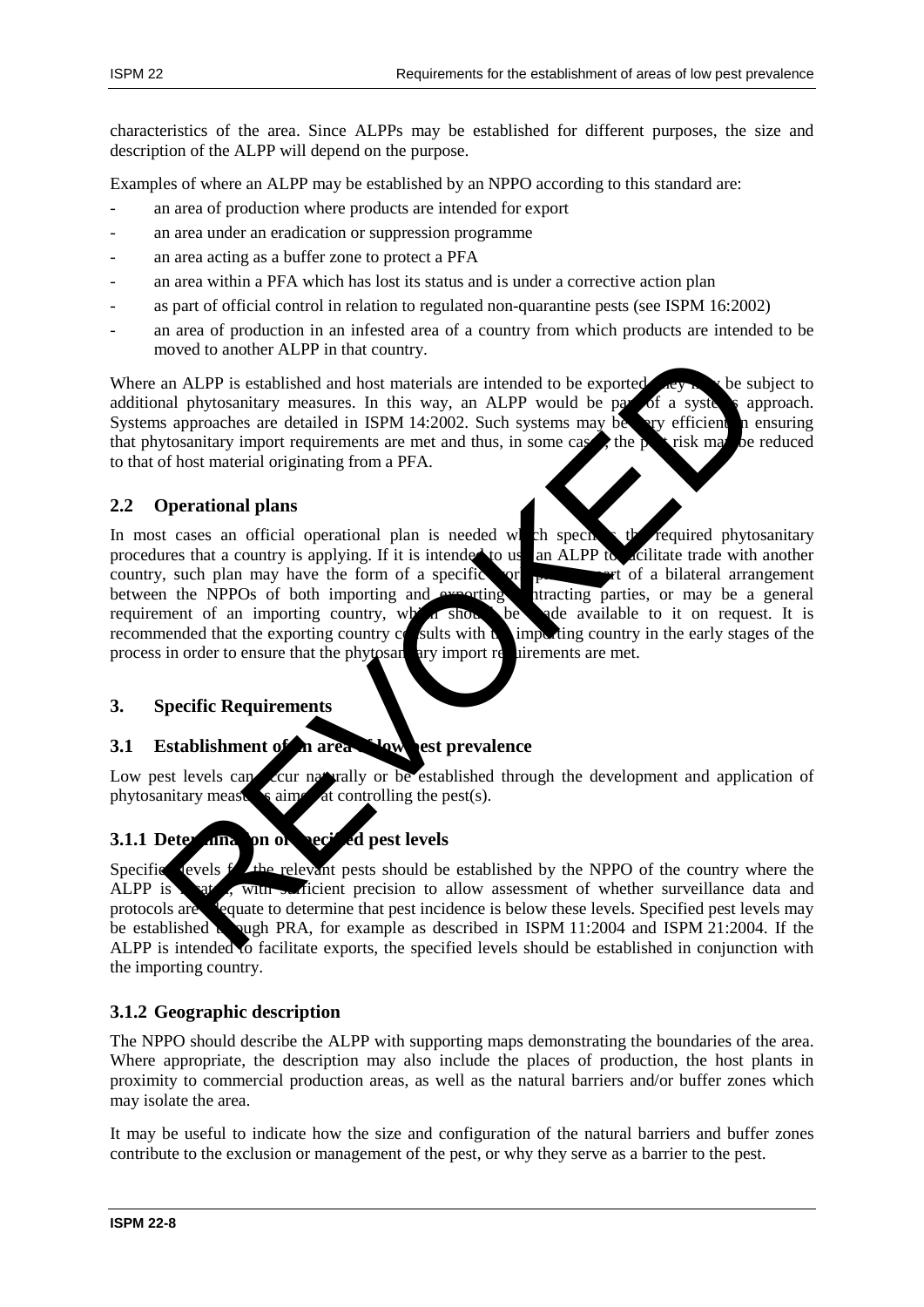characteristics of the area. Since ALPPs may be established for different purposes, the size and description of the ALPP will depend on the purpose.

Examples of where an ALPP may be established by an NPPO according to this standard are:

- an area of production where products are intended for export
- an area under an eradication or suppression programme
- an area acting as a buffer zone to protect a PFA
- an area within a PFA which has lost its status and is under a corrective action plan
- as part of official control in relation to regulated non-quarantine pests (see ISPM 16:2002)
- an area of production in an infested area of a country from which products are intended to be moved to another ALPP in that country.

Where an ALPP is established and host materials are intended to be exported,  $\mathbf{y}_k$  when subject to additional phytosanitary measures. In this way, an ALPP would be part of a systems approach. Systems approaches are detailed in ISPM 14:2002. Such systems may be very efficient in ensuring that phytosanitary import requirements are met and thus, in some cases, the pest risk may be reduced to that of host material originating from a PFA.

## **2.2 Operational plans**

In most cases an official operational plan is needed which specifies the required phytosanitary procedures that a country is applying. If it is intended to us an ALPP to acilitate trade with another country, such plan may have the form of a specific or  $\mathbf{r}$ , we note that arrangement between the NPPOs of both importing and exporting itracting parties, or may be a general requirement of an importing country, which shows be ade available to it on request. It is recommended that the exporting country  $c_0$  sults with  $t_0$  importing country in the early stages of the process in order to ensure that the phytosane ary import requirements are met. nover to another Arr P mutat country.<br>
In ALPP is established and host materials are intended to be exported and phytosmitary measures. In this way, an ALPP would be pay of a system and<br>
in all phytosmitary import requirem

### **3. Specific Requirements**

### **3.1 Establishment of an area of low pest prevalence**

Low pest levels can cover naturally or be established through the development and application of phytosanitary measures aimed at controlling the pest(s).

# **3.1.1 Determination of secied pest levels**

Specified levels for the relevant pests should be established by the NPPO of the country where the ALPP is at , with sufficient precision to allow assessment of whether surveillance data and protocols are adequate to determine that pest incidence is below these levels. Specified pest levels may be established to pugh PRA, for example as described in ISPM  $11:2004$  and ISPM 21:2004. If the ALPP is intended to facilitate exports, the specified levels should be established in conjunction with the importing country.

### **3.1.2 Geographic description**

The NPPO should describe the ALPP with supporting maps demonstrating the boundaries of the area. Where appropriate, the description may also include the places of production, the host plants in proximity to commercial production areas, as well as the natural barriers and/or buffer zones which may isolate the area.

It may be useful to indicate how the size and configuration of the natural barriers and buffer zones contribute to the exclusion or management of the pest, or why they serve as a barrier to the pest.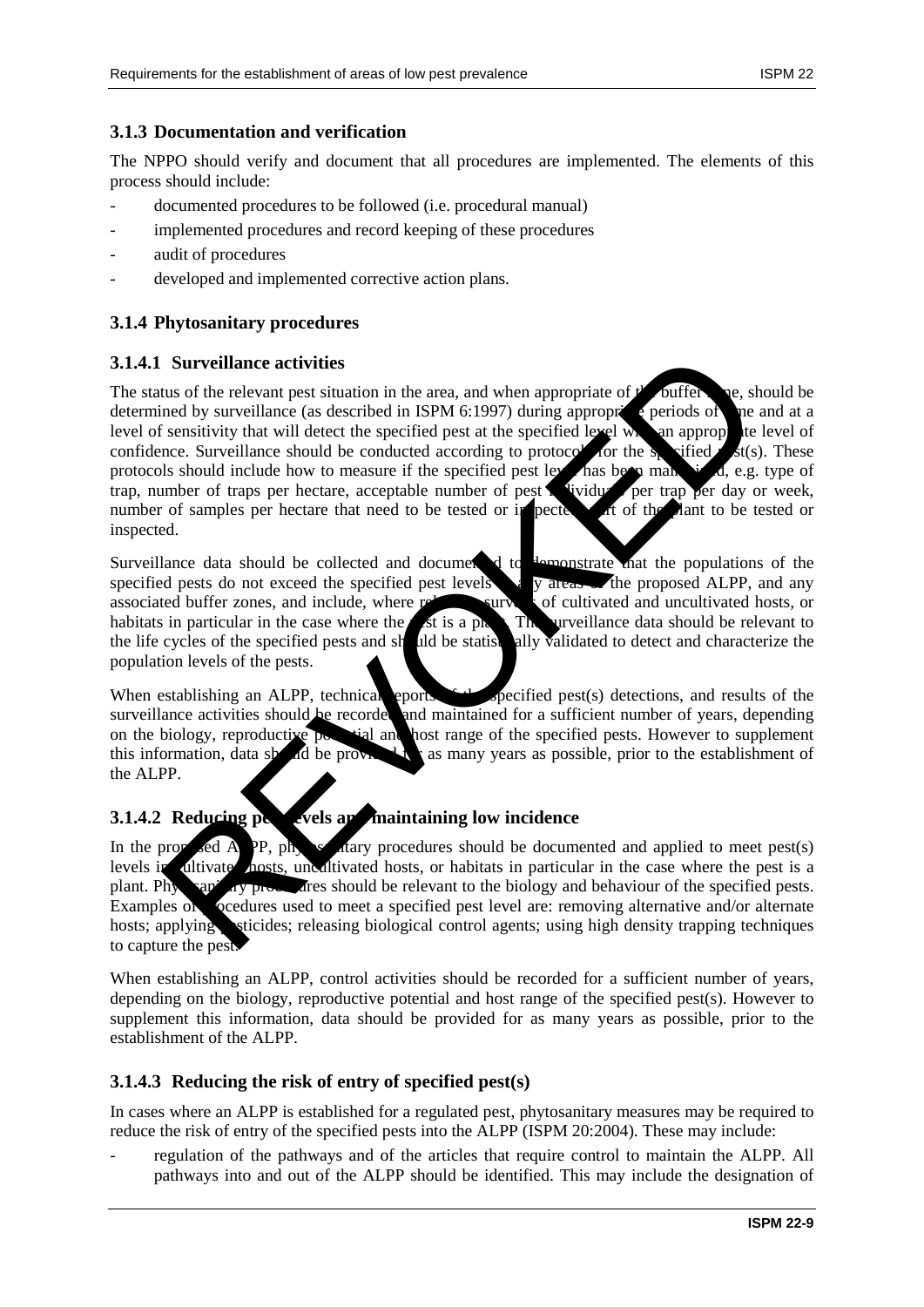### **3.1.3 Documentation and verification**

The NPPO should verify and document that all procedures are implemented. The elements of this process should include:

- documented procedures to be followed (i.e. procedural manual)
- implemented procedures and record keeping of these procedures
- audit of procedures
- developed and implemented corrective action plans.

# **3.1.4 Phytosanitary procedures**

## **3.1.4.1 Surveillance activities**

The status of the relevant pest situation in the area, and when appropriate of  $f'$  buffer  $\alpha$  e, should be determined by surveillance (as described in ISPM 6:1997) during appropri $\epsilon$  periods of the and at a level of sensitivity that will detect the specified pest at the specified level with an appropriate level of confidence. Surveillance should be conducted according to protocols for the specified  $\mathcal{L}$  st(s). These protocols should include how to measure if the specified pest level has been many is d, e.g. type of trap, number of traps per hectare, acceptable number of pest  $\bullet$  vidus per trap per day or week. trap, number of traps per hectare, acceptable number of pest  $\blacksquare$  vidual number of samples per hectare that need to be tested or inspected or inspected or  $\frac{1}{2}$  and to be tested or inspected. **Surveillance activities**<br>tus of the relevant pest situation in the area, and when appropriate of  $\theta$  confidence (as determined to a second by a surveillance (as determined by the second of the second of the second of th

Surveillance data should be collected and documented to demonstrate that the populations of the specified pests do not exceed the specified pest levels in a very state of cultivated and uncultivated hosts, or associated buffer zones, and include, where relevant, surveys of curve habitats in particular in the case where the pest is a plant. The surveillance data should be relevant to the life cycles of the specified pests and should be statistically validated to detect and characterize the population levels of the pests.

When establishing an ALPP, technical eports  $\epsilon$  depecified pest(s) detections, and results of the surveillance activities should be recorded and maintained for a sufficient number of years, depending on the biology, reproductive potential and host range of the specified pests. However to supplement this information, data should be provided for as many years as possible, prior to the establishment of the ALPP.

# **3.1.4.2 Reducing perfects and maintaining low incidence**

In the proposed APP, physical ary procedures should be documented and applied to meet pest(s) levels in cultivated hosts, uncultivated hosts, or habitats in particular in the case where the pest is a plant. Phytosan<sup>it</sup> ry procedures should be relevant to the biology and behaviour of the specified pests. Examples of **procedures used to meet a specified pest level are: removing alternative and/or alternate** hosts; applying sticides; releasing biological control agents; using high density trapping techniques to capture the pest.

When establishing an ALPP, control activities should be recorded for a sufficient number of years, depending on the biology, reproductive potential and host range of the specified pest(s). However to supplement this information, data should be provided for as many years as possible, prior to the establishment of the ALPP.

### **3.1.4.3 Reducing the risk of entry of specified pest(s)**

In cases where an ALPP is established for a regulated pest, phytosanitary measures may be required to reduce the risk of entry of the specified pests into the ALPP (ISPM 20:2004). These may include:

regulation of the pathways and of the articles that require control to maintain the ALPP. All pathways into and out of the ALPP should be identified. This may include the designation of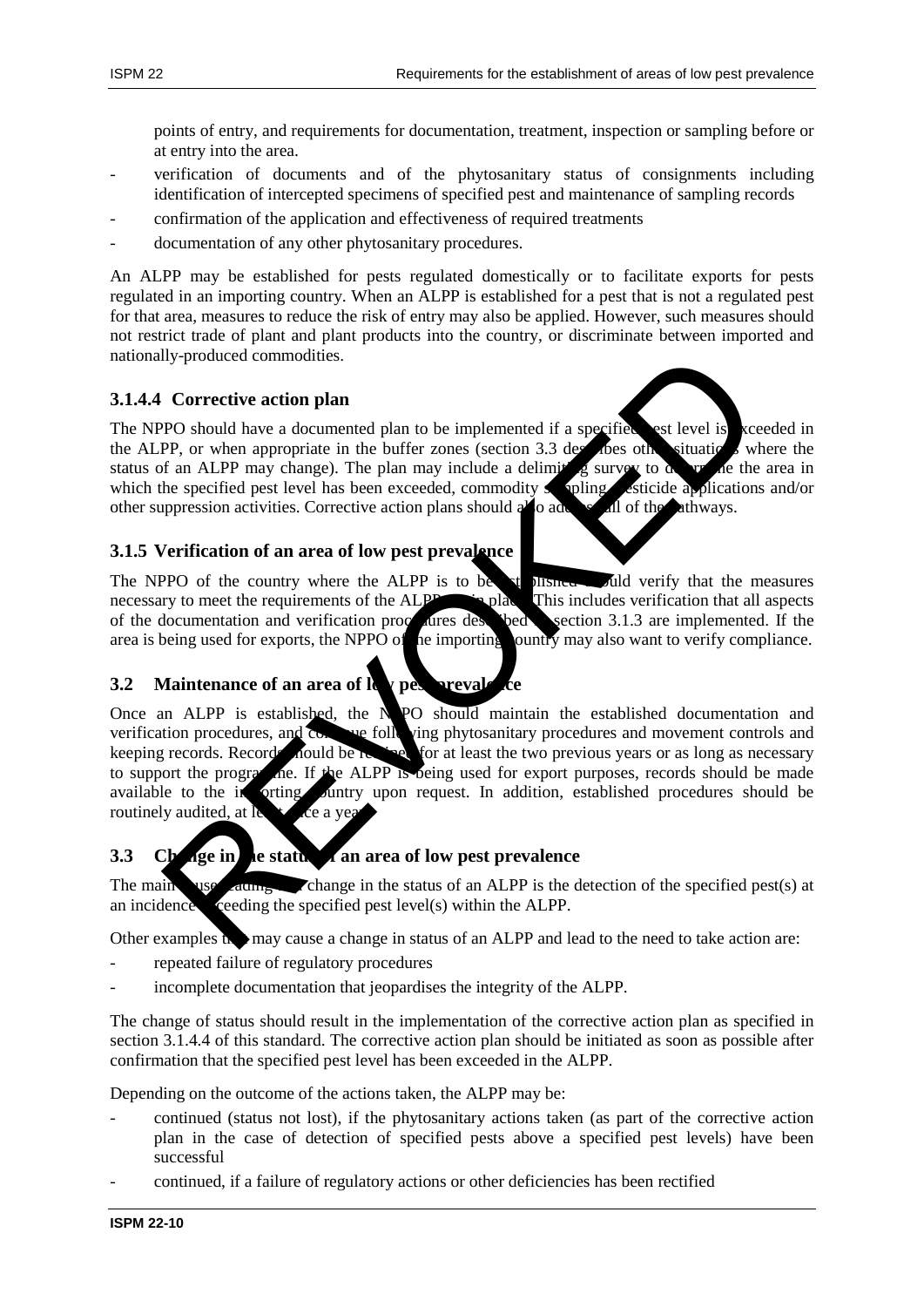points of entry, and requirements for documentation, treatment, inspection or sampling before or at entry into the area.

- verification of documents and of the phytosanitary status of consignments including identification of intercepted specimens of specified pest and maintenance of sampling records
- confirmation of the application and effectiveness of required treatments
- documentation of any other phytosanitary procedures.

An ALPP may be established for pests regulated domestically or to facilitate exports for pests regulated in an importing country. When an ALPP is established for a pest that is not a regulated pest for that area, measures to reduce the risk of entry may also be applied. However, such measures should not restrict trade of plant and plant products into the country, or discriminate between imported and nationally-produced commodities.

## **3.1.4.4 Corrective action plan**

The NPPO should have a documented plan to be implemented if a specified est level is  $\kappa$  ceeded in the ALPP, or when appropriate in the buffer zones (section  $3.3$  describes other situations where the status of an ALPP may change). The plan may include a delimiting survey to  $\alpha$  are the area in which the specified pest level has been exceeded, commodity sampling, esticide applications and/or other suppression activities. Corrective action plans should also added all of the athways.

## **3.1.5 Verification of an area of low pest prevalence**

The NPPO of the country where the ALPP is to be established showled verify that the measures necessary to meet the requirements of the ALPP are in place. This includes verification that all aspects of the documentation and verification procedures described section 3.1.3 are implemented. If the area is being used for exports, the NPPO of the importing ountry may also want to verify compliance.

# **3.2** Maintenance of an area of  $\mathbf{R}$  pest prevalence

Once an ALPP is established, the NPO should maintain the established documentation and verification procedures, and continue following phytosanitary procedures and movement controls and keeping records. Records nould be retained for at least the two previous years or as long as necessary to support the programme. If the ALPP is being used for export purposes, records should be made available to the investigation of request. In addition, established procedures should be routinely audited, at  $\log$  of  $\log$ Ily-produced commodities.<br>
Prop. or when appropriate in the buffer zones (section 3.1 dependent of the section 3.1 dependent in the buffer zones (section 3.1 dependent in the specified per large of the material in the buff

# **3.3** Change in the status of an area of low pest prevalence

The main  $\frac{1}{2}$  change in the status of an ALPP is the detection of the specified pest(s) at an incidence  $\epsilon$  ceeding the specified pest level(s) within the ALPP.

Other examples the may cause a change in status of an ALPP and lead to the need to take action are:

- repeated failure of regulatory procedures
- incomplete documentation that jeopardises the integrity of the ALPP.

The change of status should result in the implementation of the corrective action plan as specified in section 3.1.4.4 of this standard. The corrective action plan should be initiated as soon as possible after confirmation that the specified pest level has been exceeded in the ALPP.

Depending on the outcome of the actions taken, the ALPP may be:

- continued (status not lost), if the phytosanitary actions taken (as part of the corrective action plan in the case of detection of specified pests above a specified pest levels) have been successful
- continued, if a failure of regulatory actions or other deficiencies has been rectified